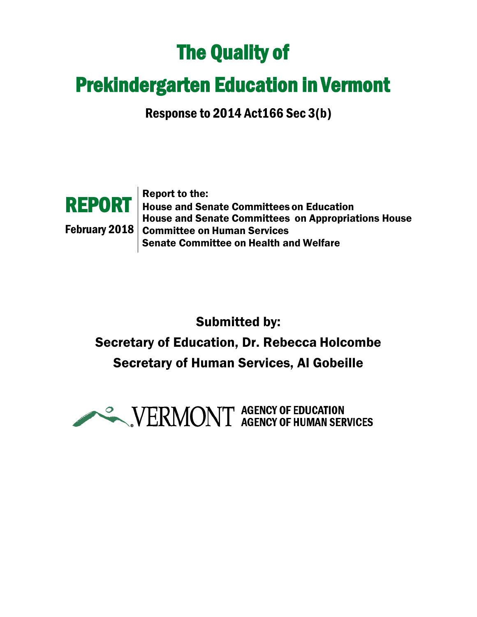# The Quality of

# Prekindergarten Education in Vermont

Response to 2014 Act166 Sec 3(b)



**REPORT** | House and Senate Committees on Education February 2018 Committee on Human Services Report to the: House and Senate Committees on Appropriations House Senate Committee on Health and Welfare

Submitted by: Secretary of Education, Dr. Rebecca Holcombe Secretary of Human Services, Al Gobeille

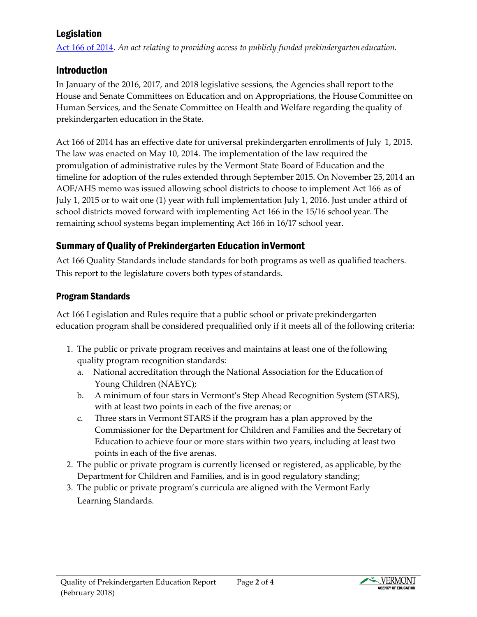# Legislation

[Act 166 of 2014.](http://legislature.vermont.gov/assets/Documents/2014/Docs/ACTS/ACT166/ACT166%20As%20Enacted.pdf) *An act relating to providing access to publicly funded prekindergarten education.*

# Introduction

In January of the 2016, 2017, and 2018 legislative sessions, the Agencies shall report to the House and Senate Committees on Education and on Appropriations, the House Committee on Human Services, and the Senate Committee on Health and Welfare regarding the quality of prekindergarten education in the State.

Act 166 of 2014 has an effective date for universal prekindergarten enrollments of July 1, 2015. The law was enacted on May 10, 2014. The implementation of the law required the promulgation of administrative rules by the Vermont State Board of Education and the timeline for adoption of the rules extended through September 2015. On November 25, 2014 an AOE/AHS memo was issued allowing school districts to choose to implement Act 166 as of July 1, 2015 or to wait one (1) year with full implementation July 1, 2016. Just under a third of school districts moved forward with implementing Act 166 in the 15/16 school year. The remaining school systems began implementing Act 166 in 16/17 school year.

# Summary of Quality of Prekindergarten Education inVermont

Act 166 Quality Standards include standards for both programs as well as qualified teachers. This report to the legislature covers both types of standards.

# ProgramStandards

Act 166 Legislation and Rules require that a public school or private prekindergarten education program shall be considered prequalified only if it meets all of the following criteria:

- 1. The public or private program receives and maintains at least one of the following quality program recognition standards:
	- a. National accreditation through the National Association for the Education of Young Children (NAEYC);
	- b. A minimum of four stars in Vermont's Step Ahead Recognition System (STARS), with at least two points in each of the five arenas; or
	- c. Three stars in Vermont STARS if the program has a plan approved by the Commissioner for the Department for Children and Families and the Secretary of Education to achieve four or more stars within two years, including at least two points in each of the five arenas.
- 2. The public or private program is currently licensed or registered, as applicable, by the Department for Children and Families, and is in good regulatory standing;

Page **2** of **4**

3. The public or private program's curricula are aligned with the Vermont Early Learning Standards.



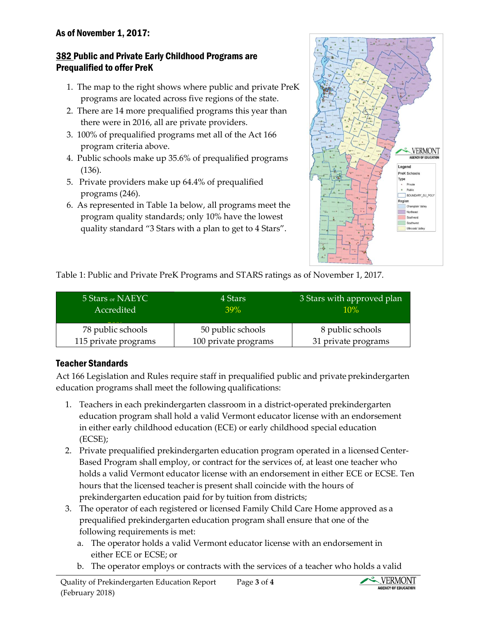#### As of November 1, 2017:

#### 382 Public and Private Early Childhood Programs are Prequalified to offer PreK

- 1. The map to the right shows where public and private PreK programs are located across five regions of the state.
- 2. There are 14 more prequalified programs this year than there were in 2016, all are private providers.
- 3. 100% of prequalified programs met all of the Act 166 program criteria above.
- 4. Public schools make up 35.6% of prequalified programs (136).
- 5. Private providers make up 64.4% of prequalified programs (246).
- 6. As represented in Table 1a below, all programs meet the program quality standards; only 10% have the lowest quality standard "3 Stars with a plan to get to 4 Stars".



Table 1: Public and Private PreK Programs and STARS ratings as of November 1, 2017.

| 5 Stars or NAEYC<br>Accredited | 4 Stars<br>39%       | 3 Stars with approved plan<br>10% |
|--------------------------------|----------------------|-----------------------------------|
| 78 public schools              | 50 public schools    | 8 public schools                  |
| 115 private programs           | 100 private programs | 31 private programs               |

#### Teacher Standards

Act 166 Legislation and Rules require staff in prequalified public and private prekindergarten education programs shall meet the following qualifications:

- 1. Teachers in each prekindergarten classroom in a district-operated prekindergarten education program shall hold a valid Vermont educator license with an endorsement in either early childhood education (ECE) or early childhood special education (ECSE);
- 2. Private prequalified prekindergarten education program operated in a licensed Center-Based Program shall employ, or contract for the services of, at least one teacher who holds a valid Vermont educator license with an endorsement in either ECE or ECSE. Ten hours that the licensed teacher is present shall coincide with the hours of prekindergarten education paid for by tuition from districts;
- 3. The operator of each registered or licensed Family Child Care Home approved as a prequalified prekindergarten education program shall ensure that one of the following requirements is met:
	- a. The operator holds a valid Vermont educator license with an endorsement in either ECE or ECSE; or
	- b. The operator employs or contracts with the services of a teacher who holds a valid